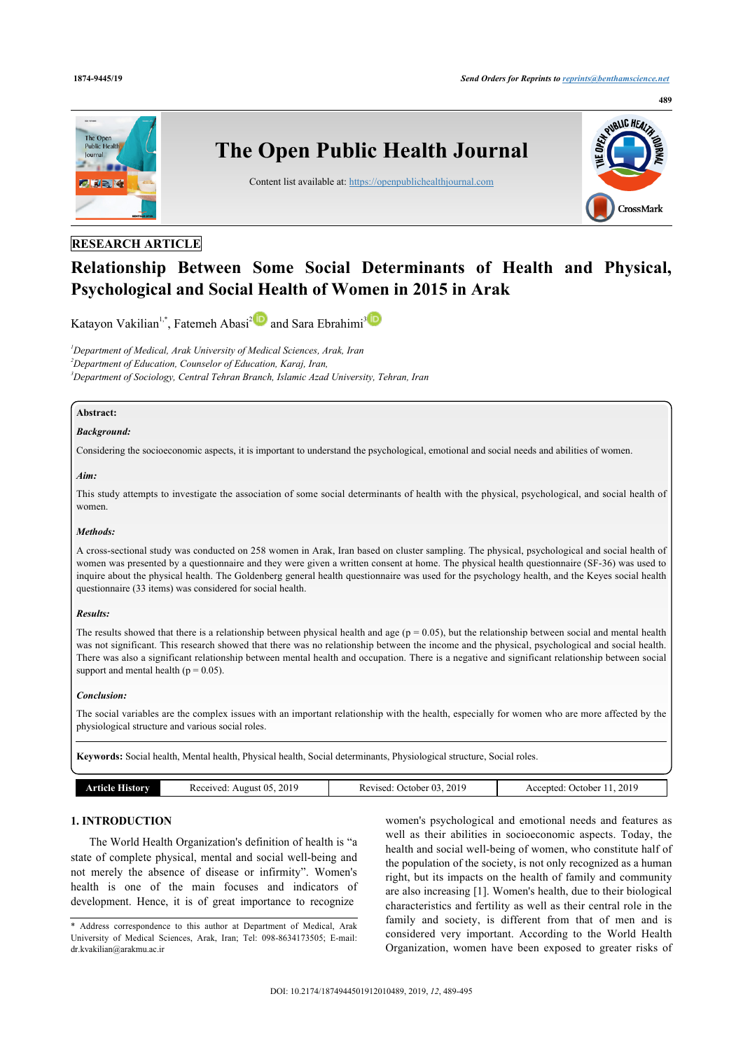

## **RESEARCH ARTICLE**

# **Relationship Between Some Social Determinants of Health and Physical, Psychological and Social Health of Women in 2015 in Arak**

Katayon Vakilian<sup>[1](#page-0-0),[\\*](#page-0-1)</sup>, Fatemeh Abasi<sup>[2](#page-0-2)</sup> and Sara Ebrahimi<sup>[3](#page-0-3)</sup>

<span id="page-0-3"></span><span id="page-0-2"></span><span id="page-0-0"></span>*<sup>1</sup>Department of Medical, Arak University of Medical Sciences, Arak, Iran <sup>2</sup>Department of Education, Counselor of Education, Karaj, Iran, <sup>3</sup>Department of Sociology, Central Tehran Branch, Islamic Azad University, Tehran, Iran*

### **Abstract:**

### *Background:*

Considering the socioeconomic aspects, it is important to understand the psychological, emotional and social needs and abilities of women.

#### *Aim:*

This study attempts to investigate the association of some social determinants of health with the physical, psychological, and social health of women.

### *Methods:*

A cross-sectional study was conducted on 258 women in Arak, Iran based on cluster sampling. The physical, psychological and social health of women was presented by a questionnaire and they were given a written consent at home. The physical health questionnaire (SF-36) was used to inquire about the physical health. The Goldenberg general health questionnaire was used for the psychology health, and the Keyes social health questionnaire (33 items) was considered for social health.

### *Results:*

The results showed that there is a relationship between physical health and age ( $p = 0.05$ ), but the relationship between social and mental health was not significant. This research showed that there was no relationship between the income and the physical, psychological and social health. There was also a significant relationship between mental health and occupation. There is a negative and significant relationship between social support and mental health ( $p = 0.05$ ).

### *Conclusion:*

The social variables are the complex issues with an important relationship with the health, especially for women who are more affected by the physiological structure and various social roles.

**Keywords:** Social health, Mental health, Physical health, Social determinants, Physiological structure, Social roles.

|  | Article I<br>. Ilstory | 2019<br>August 05.<br>Received | 2019<br>October 03<br>Revised: | 2019<br>Accepted: 2<br>October |
|--|------------------------|--------------------------------|--------------------------------|--------------------------------|
|--|------------------------|--------------------------------|--------------------------------|--------------------------------|

### **1. INTRODUCTION**

The World Health Organization's definition of health is "a state of complete physical, mental and social well-being and not merely the absence of disease or infirmity". Women's health is one of the main focuses and indicators of development. Hence, it is of great importance to recognize

women's psychological and emotional needs and features as well as their abilities in socioeconomic aspects. Today, the health and social well-being of women, who constitute half of the population of the society, is not only recognized as a human right, but its impacts on the health of family and community are also increasing [\[1](#page-4-0)]. Women's health, due to their biological characteristics and fertility as well as their central role in the family and society, is different from that of men and is considered very important. According to the World Health Organization, women have been exposed to greater risks of

<span id="page-0-1"></span><sup>\*</sup> Address correspondence to this author at Department of Medical, Arak University of Medical Sciences, Arak, Iran; Tel: 098-8634173505; E-mail: [dr.kvakilian@arakmu.ac.ir](mailto:dr.kvakilian@arakmu.ac.ir)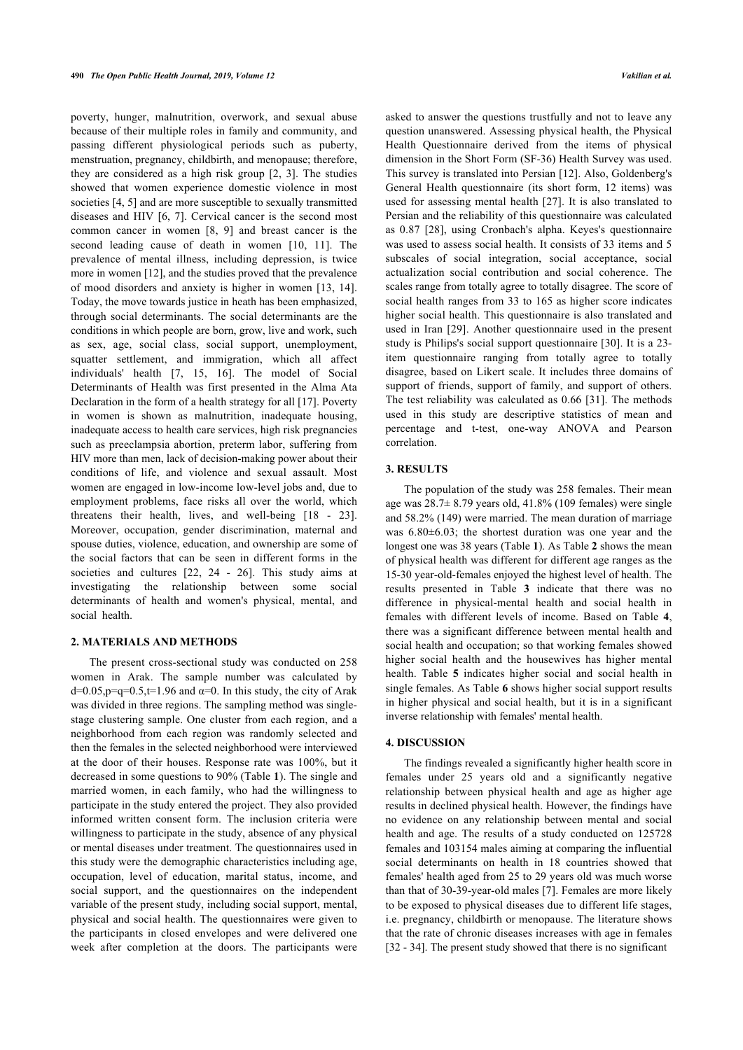poverty, hunger, malnutrition, overwork, and sexual abuse because of their multiple roles in family and community, and passing different physiological periods such as puberty, menstruation, pregnancy, childbirth, and menopause; therefore, they are considered as a high risk group[[2](#page-4-1), [3\]](#page-4-2). The studies showed that women experience domestic violence in most societies [\[4,](#page-4-3) [5\]](#page-4-4) and are more susceptible to sexually transmitted diseases and HIV [[6](#page-5-0), [7\]](#page-5-1). Cervical cancer is the second most common cancer in women[[8,](#page-5-2) [9](#page-5-3)] and breast cancer is the second leading cause of death in women[[10,](#page-5-4) [11\]](#page-5-5). The prevalence of mental illness, including depression, is twice more in women [[12\]](#page-5-6), and the studies proved that the prevalence of mood disorders and anxiety is higher in women [[13](#page-5-7), [14\]](#page-5-8). Today, the move towards justice in heath has been emphasized, through social determinants. The social determinants are the conditions in which people are born, grow, live and work, such as sex, age, social class, social support, unemployment, squatter settlement, and immigration, which all affect individuals' health [\[7,](#page-5-1) [15,](#page-5-9) [16\]](#page-5-10). The model of Social Determinants of Health was first presented in the Alma Ata Declaration in the form of a health strategy for all [[17\]](#page-5-11). Poverty in women is shown as malnutrition, inadequate housing, inadequate access to health care services, high risk pregnancies such as preeclampsia abortion, preterm labor, suffering from HIV more than men, lack of decision-making power about their conditions of life, and violence and sexual assault. Most women are engaged in low-income low-level jobs and, due to employment problems, face risks all over the world, which threatens their health, lives, and well-being[[18](#page-5-12) - [23\]](#page-5-13). Moreover, occupation, gender discrimination, maternal and spouse duties, violence, education, and ownership are some of the social factors that can be seen in different forms in the societies and cultures [\[22](#page-5-14), [24](#page-5-15) - [26](#page-5-16)]. This study aims at investigating the relationship between some social determinants of health and women's physical, mental, and social health.

### **2. MATERIALS AND METHODS**

The present cross-sectional study was conducted on 258 women in Arak. The sample number was calculated by d=0.05,p=q=0.5,t=1.96 and  $\alpha$ =0. In this study, the city of Arak was divided in three regions. The sampling method was singlestage clustering sample. One cluster from each region, and a neighborhood from each region was randomly selected and then the females in the selected neighborhood were interviewed at the door of their houses. Response rate was 100%, but it decreased in some questions to 90% (Table **[1](#page--1-0)**). The single and married women, in each family, who had the willingness to participate in the study entered the project. They also provided informed written consent form. The inclusion criteria were willingness to participate in the study, absence of any physical or mental diseases under treatment. The questionnaires used in this study were the demographic characteristics including age, occupation, level of education, marital status, income, and social support, and the questionnaires on the independent variable of the present study, including social support, mental, physical and social health. The questionnaires were given to the participants in closed envelopes and were delivered one week after completion at the doors. The participants were

asked to answer the questions trustfully and not to leave any question unanswered. Assessing physical health, the Physical Health Questionnaire derived from the items of physical dimension in the Short Form (SF-36) Health Survey was used. This survey is translated into Persian [[12](#page-5-6)]. Also, Goldenberg's General Health questionnaire (its short form, 12 items) was used for assessing mental health [[27](#page-5-17)]. It is also translated to Persian and the reliability of this questionnaire was calculated as 0.87[[28\]](#page-5-18), using Cronbach's alpha. Keyes's questionnaire was used to assess social health. It consists of 33 items and 5 subscales of social integration, social acceptance, social actualization social contribution and social coherence. The scales range from totally agree to totally disagree. The score of social health ranges from 33 to 165 as higher score indicates higher social health. This questionnaire is also translated and used in Iran [\[29\]](#page-5-19). Another questionnaire used in the present study is Philips's social support questionnaire [[30](#page-5-6)]. It is a 23 item questionnaire ranging from totally agree to totally disagree, based on Likert scale. It includes three domains of support of friends, support of family, and support of others. The test reliability was calculated as 0.66 [\[31\]](#page-5-7). The methods used in this study are descriptive statistics of mean and percentage and t-test, one-way ANOVA and Pearson correlation.

### **3. RESULTS**

The population of the study was 258 females. Their mean age was 28.7± 8.79 years old, 41.8% (109 females) were single and 58.2% (149) were married. The mean duration of marriage was 6.80±6.03; the shortest duration was one year and the longest one was 38 years (Table **[1](#page-2-0)**). As Table **[2](#page-2-1)** shows the mean of physical health was different for different age ranges as the 15-30 year-old-females enjoyed the highest level of health. The results presented in Table**3** indicate that there was no difference in physical-mental health and social health in females with different levels of income. Based on Table**4**, there was a significant difference between mental health and social health and occupation; so that working females showed higher social health and the housewives has higher mental health. Table**5** indicates higher social and social health in single females. As Table **[6](#page-3-2)** shows higher social support results in higher physical and social health, but it is in a significant inverse relationship with females' mental health.

### **4. DISCUSSION**

The findings revealed a significantly higher health score in females under 25 years old and a significantly negative relationship between physical health and age as higher age results in declined physical health. However, the findings have no evidence on any relationship between mental and social health and age. The results of a study conducted on 125728 females and 103154 males aiming at comparing the influential social determinants on health in 18 countries showed that females' health aged from 25 to 29 years old was much worse than that of 30-39-year-old males [[7](#page-5-1)]. Females are more likely to be exposed to physical diseases due to different life stages, i.e. pregnancy, childbirth or menopause. The literature shows that the rate of chronic diseases increases with age in females [[32](#page-5-20) - [34](#page-5-21)]. The present study showed that there is no significant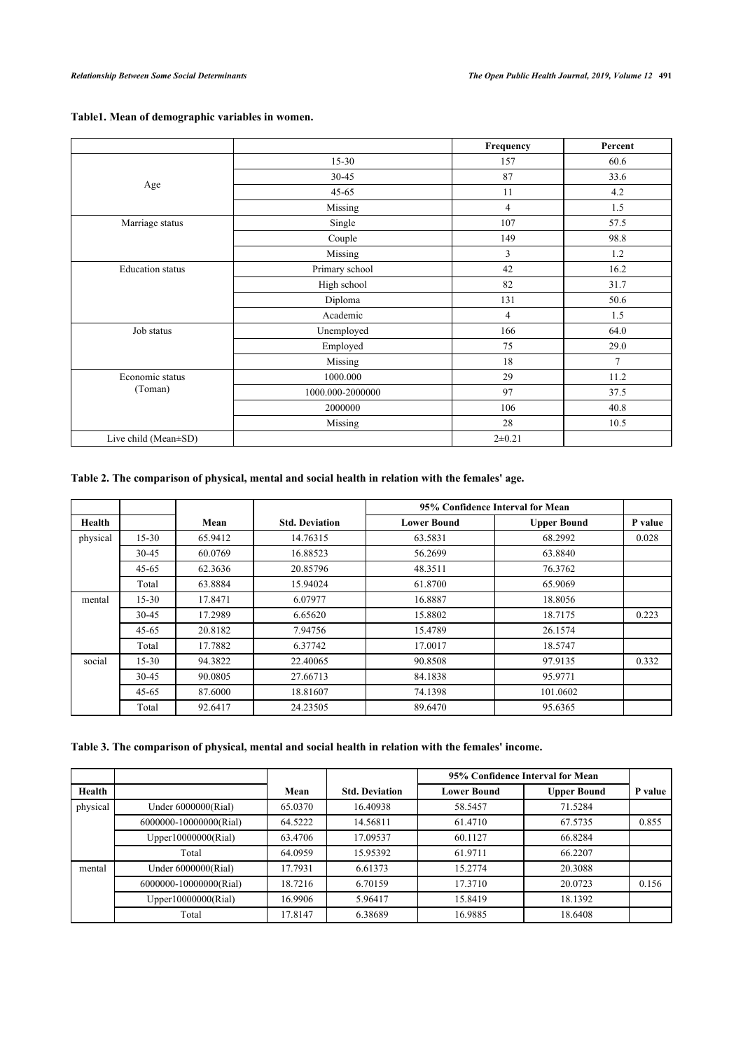<span id="page-2-0"></span>

| Table1. Mean of demographic variables in women. |  |  |  |
|-------------------------------------------------|--|--|--|
|-------------------------------------------------|--|--|--|

|                         |                  | Frequency  | Percent        |
|-------------------------|------------------|------------|----------------|
|                         | $15 - 30$        | 157        | 60.6           |
|                         | 30-45            | 87         | 33.6           |
| Age                     | $45 - 65$        | 11         | 4.2            |
|                         | Missing          | 4          | 1.5            |
| Marriage status         | Single           | 107        | 57.5           |
|                         | Couple           | 149        | 98.8           |
|                         | Missing          | 3          | 1.2            |
| <b>Education</b> status | Primary school   | 42         | 16.2           |
|                         | High school      | 82         | 31.7           |
|                         | Diploma          | 131        | 50.6           |
|                         | Academic         | 4          | 1.5            |
| Job status              | Unemployed       | 166        | 64.0           |
|                         | Employed         | 75         | 29.0           |
|                         | Missing          | 18         | $\overline{7}$ |
| Economic status         | 1000.000         | 29         | 11.2           |
| (Toman)                 | 1000.000-2000000 | 97         | 37.5           |
|                         | 2000000          | 106        | 40.8           |
|                         | Missing          | 28         | 10.5           |
| Live child (Mean±SD)    |                  | $2 + 0.21$ |                |

## <span id="page-2-1"></span>**Table 2. The comparison of physical, mental and social health in relation with the females' age.**

|          |           |         |                       |                    | 95% Confidence Interval for Mean |         |
|----------|-----------|---------|-----------------------|--------------------|----------------------------------|---------|
| Health   |           | Mean    | <b>Std. Deviation</b> | <b>Lower Bound</b> | <b>Upper Bound</b>               | P value |
| physical | $15 - 30$ | 65.9412 | 14.76315              | 63.5831            | 68.2992                          | 0.028   |
|          | 30-45     | 60.0769 | 16.88523              | 56.2699            | 63.8840                          |         |
|          | $45 - 65$ | 62.3636 | 20.85796              | 48.3511            | 76.3762                          |         |
|          | Total     | 63.8884 | 15.94024              | 61.8700            | 65.9069                          |         |
| mental   | $15 - 30$ | 17.8471 | 6.07977               | 16.8887            | 18.8056                          |         |
|          | 30-45     | 17.2989 | 6.65620               | 15.8802            | 18.7175                          | 0.223   |
|          | $45 - 65$ | 20.8182 | 7.94756               | 15.4789            | 26.1574                          |         |
|          | Total     | 17.7882 | 6.37742               | 17.0017            | 18.5747                          |         |
| social   | $15 - 30$ | 94.3822 | 22.40065              | 90.8508            | 97.9135                          | 0.332   |
|          | 30-45     | 90.0805 | 27.66713              | 84.1838            | 95.9771                          |         |
|          | $45 - 65$ | 87.6000 | 18.81607              | 74.1398            | 101.0602                         |         |
|          | Total     | 92.6417 | 24.23505              | 89.6470            | 95.6365                          |         |

## <span id="page-2-2"></span>**Table 3. The comparison of physical, mental and social health in relation with the females' income.**

|          |                        |         |                       |                    | 95% Confidence Interval for Mean |         |
|----------|------------------------|---------|-----------------------|--------------------|----------------------------------|---------|
| Health   |                        | Mean    | <b>Std. Deviation</b> | <b>Lower Bound</b> | <b>Upper Bound</b>               | P value |
| physical | Under 6000000(Rial)    | 65.0370 | 16.40938              | 58.5457            | 71.5284                          |         |
|          | 6000000-10000000(Rial) | 64.5222 | 14.56811              | 61.4710            | 67.5735                          | 0.855   |
|          | Upper10000000(Rial)    | 63.4706 | 17.09537              | 60.1127            | 66.8284                          |         |
|          | Total                  | 64.0959 | 15.95392              | 61.9711            | 66.2207                          |         |
| mental   | Under 6000000(Rial)    | 17.7931 | 6.61373               | 15.2774            | 20.3088                          |         |
|          | 6000000-10000000(Rial) | 18.7216 | 6.70159               | 17.3710            | 20.0723                          | 0.156   |
|          | Upper10000000(Rial)    | 16.9906 | 5.96417               | 15.8419            | 18.1392                          |         |
|          | Total                  | 17.8147 | 6.38689               | 16.9885            | 18.6408                          |         |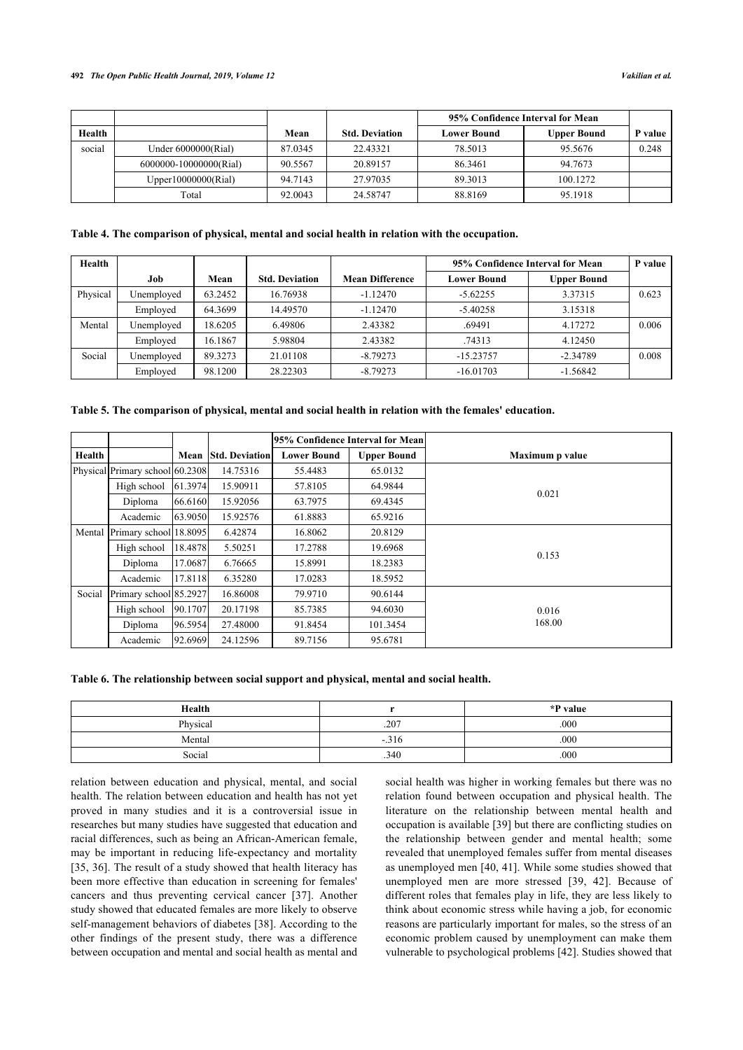### **492** *The Open Public Health Journal, 2019, Volume 12 Vakilian et al.*

|        |                         |         |                       | 95% Confidence Interval for Mean |                    |         |
|--------|-------------------------|---------|-----------------------|----------------------------------|--------------------|---------|
| Health |                         | Mean    | <b>Std. Deviation</b> | <b>Lower Bound</b>               | <b>Upper Bound</b> | P value |
| social | Under $6000000$ (Rial)  | 87.0345 | 22.43321              | 78.5013                          | 95.5676            | 0.248   |
|        | 6000000-100000000(Rial) | 90.5567 | 20.89157              | 86.3461                          | 94.7673            |         |
|        | Upper $10000000(Rial)$  | 94.7143 | 27.97035              | 89.3013                          | 100.1272           |         |
|        | Total                   | 92.0043 | 24.58747              | 88.8169                          | 95.1918            |         |

### <span id="page-3-0"></span>**Table 4. The comparison of physical, mental and social health in relation with the occupation.**

| Health   |            |         |                       |                        | 95% Confidence Interval for Mean |                    | P value |
|----------|------------|---------|-----------------------|------------------------|----------------------------------|--------------------|---------|
|          | Job        | Mean    | <b>Std. Deviation</b> | <b>Mean Difference</b> | <b>Lower Bound</b>               | <b>Upper Bound</b> |         |
| Physical | Unemployed | 63.2452 | 16.76938              | $-1.12470$             | $-5.62255$                       | 3.37315            | 0.623   |
|          | Employed   | 64.3699 | 14.49570              | $-1.12470$             | $-5.40258$                       | 3.15318            |         |
| Mental   | Unemployed | 18.6205 | 6.49806               | 2.43382                | .69491                           | 4.17272            | 0.006   |
|          | Employed   | 16.1867 | 5.98804               | 2.43382                | .74313                           | 4.12450            |         |
| Social   | Unemployed | 89.3273 | 21.01108              | $-8.79273$             | $-15.23757$                      | $-2.34789$         | 0.008   |
|          | Employed   | 98.1200 | 28.22303              | $-8.79273$             | $-16.01703$                      | $-1.56842$         |         |

<span id="page-3-1"></span>

|  |  |  |  |  | Table 5. The comparison of physical, mental and social health in relation with the females' education. |  |
|--|--|--|--|--|--------------------------------------------------------------------------------------------------------|--|
|  |  |  |  |  |                                                                                                        |  |

|        |                                 |         |                       |                    | 95% Confidence Interval for Mean |                 |
|--------|---------------------------------|---------|-----------------------|--------------------|----------------------------------|-----------------|
| Health |                                 | Mean    | <b>Std. Deviation</b> | <b>Lower Bound</b> | <b>Upper Bound</b>               | Maximum p value |
|        | Physical Primary school 60.2308 |         | 14.75316              | 55.4483            | 65.0132                          |                 |
|        | High school                     | 61.3974 | 15.90911              | 57.8105            | 64.9844                          | 0.021           |
|        | Diploma                         | 66.6160 | 15.92056              | 63.7975            | 69.4345                          |                 |
|        | Academic                        | 63.9050 | 15.92576              | 61.8883            | 65.9216                          |                 |
|        | Mental Primary school 18.8095   |         | 6.42874               | 16.8062            | 20.8129                          |                 |
|        | High school                     | 18.4878 | 5.50251               | 17.2788            | 19.6968                          | 0.153           |
|        | Diploma                         | 17.0687 | 6.76665               | 15.8991            | 18.2383                          |                 |
|        | Academic                        | 17.8118 | 6.35280               | 17.0283            | 18.5952                          |                 |
| Social | Primary school 85.2927          |         | 16.86008              | 79.9710            | 90.6144                          |                 |
|        | High school                     | 90.1707 | 20.17198              | 85.7385            | 94.6030                          | 0.016           |
|        | Diploma                         | 96.5954 | 27.48000              | 91.8454            | 101.3454                         | 168.00          |
|        | Academic                        | 92.6969 | 24.12596              | 89.7156            | 95.6781                          |                 |

<span id="page-3-2"></span>**Table 6. The relationship between social support and physical, mental and social health.**

| Health   |        | *P value |
|----------|--------|----------|
| Physical | .207   | .000     |
| Mental   | $-316$ | .000     |
| Social   | .340   | .000     |

relation between education and physical, mental, and social health. The relation between education and health has not yet proved in many studies and it is a controversial issue in researches but many studies have suggested that education and racial differences, such as being an African-American female, may be important in reducing life-expectancy and mortality [[35,](#page-5-22) [36](#page-5-23)]. The result of a study showed that health literacy has been more effective than education in screening for females' cancers and thus preventing cervical cancer[[37](#page-5-24)]. Another study showed that educated females are more likely to observe self-management behaviors of diabetes [[38](#page-5-25)]. According to the other findings of the present study, there was a difference between occupation and mental and social health as mental and

social health was higher in working females but there was no relation found between occupation and physical health. The literature on the relationship between mental health and occupation is available [[39\]](#page-5-26) but there are conflicting studies on the relationship between gender and mental health; some revealed that unemployed females suffer from mental diseases as unemployed men [\[40,](#page-5-27) [41\]](#page-5-28). While some studies showed that unemployed men are more stressed[[39,](#page-5-26) [42\]](#page-6-0). Because of different roles that females play in life, they are less likely to think about economic stress while having a job, for economic reasons are particularly important for males, so the stress of an economic problem caused by unemployment can make them vulnerable to psychological problems [[42\]](#page-6-0). Studies showed that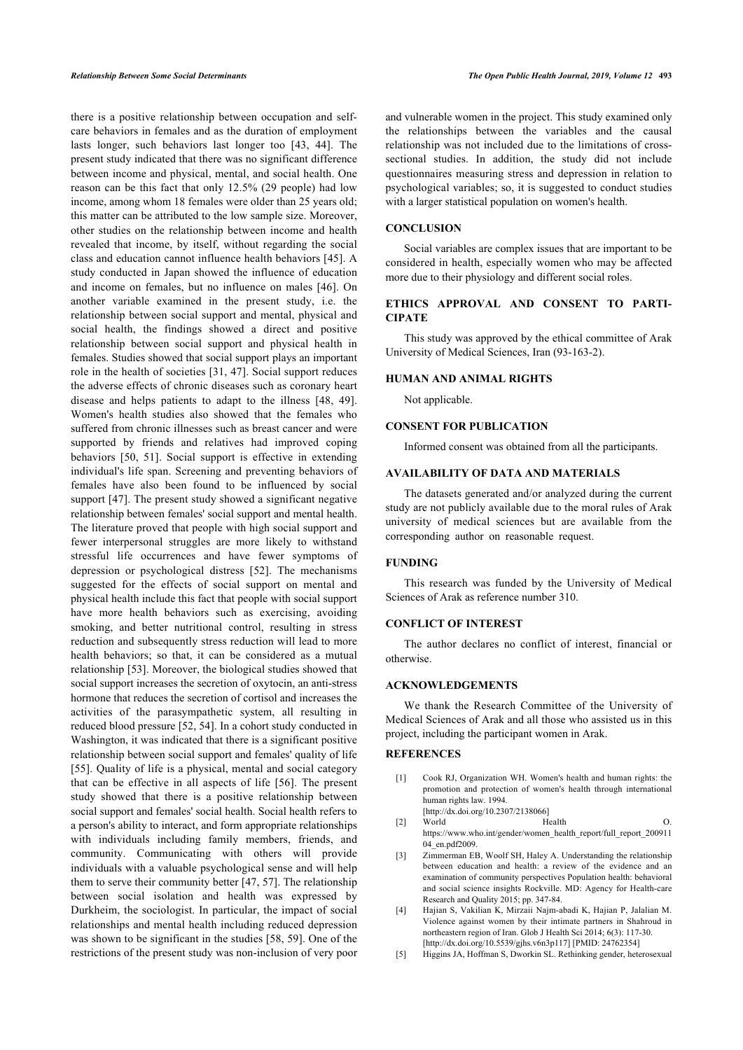there is a positive relationship between occupation and selfcare behaviors in females and as the duration of employment lasts longer, such behaviors last longer too [\[43,](#page-6-1) [44\]](#page-6-2). The present study indicated that there was no significant difference between income and physical, mental, and social health. One reason can be this fact that only 12.5% (29 people) had low income, among whom 18 females were older than 25 years old; this matter can be attributed to the low sample size. Moreover, other studies on the relationship between income and health revealed that income, by itself, without regarding the social class and education cannot influence health behaviors [[45\]](#page-6-3). A study conducted in Japan showed the influence of education and income on females, but no influence on males [\[46](#page-6-4)]. On another variable examined in the present study, i.e. the relationship between social support and mental, physical and social health, the findings showed a direct and positive relationship between social support and physical health in females. Studies showed that social support plays an important role in the health of societies [[31,](#page-5-7) [47](#page-6-5)]. Social support reduces the adverse effects of chronic diseases such as coronary heart disease and helps patients to adapt to the illness[[48](#page-6-6), [49\]](#page-6-7). Women's health studies also showed that the females who suffered from chronic illnesses such as breast cancer and were supported by friends and relatives had improved coping behaviors[[50,](#page-6-8) [51](#page-6-0)]. Social support is effective in extending individual's life span. Screening and preventing behaviors of females have also been found to be influenced by social support [[47](#page-6-5)]. The present study showed a significant negative relationship between females' social support and mental health. The literature proved that people with high social support and fewer interpersonal struggles are more likely to withstand stressful life occurrences and have fewer symptoms of depression or psychological distress [\[52\]](#page-6-1). The mechanisms suggested for the effects of social support on mental and physical health include this fact that people with social support have more health behaviors such as exercising, avoiding smoking, and better nutritional control, resulting in stress reduction and subsequently stress reduction will lead to more health behaviors; so that, it can be considered as a mutual relationship [\[53](#page-6-9)]. Moreover, the biological studies showed that social support increases the secretion of oxytocin, an anti-stress hormone that reduces the secretion of cortisol and increases the activities of the parasympathetic system, all resulting in reduced blood pressure [[52](#page-6-1), [54\]](#page-6-3). In a cohort study conducted in Washington, it was indicated that there is a significant positive relationship between social support and females' quality of life [[55\]](#page-6-10). Quality of life is a physical, mental and social category that can be effective in all aspects of life[[56\]](#page-6-5). The present study showed that there is a positive relationship between social support and females' social health. Social health refers to a person's ability to interact, and form appropriate relationships with individuals including family members, friends, and community. Communicating with others will provide individuals with a valuable psychological sense and will help them to serve their community better [[47,](#page-6-5) [57](#page-6-11)]. The relationship between social isolation and health was expressed by Durkheim, the sociologist. In particular, the impact of social relationships and mental health including reduced depression was shown to be significant in the studies [\[58](#page-6-7), [59](#page-6-12)]. One of the restrictions of the present study was non-inclusion of very poor and vulnerable women in the project. This study examined only the relationships between the variables and the causal relationship was not included due to the limitations of crosssectional studies. In addition, the study did not include questionnaires measuring stress and depression in relation to psychological variables; so, it is suggested to conduct studies with a larger statistical population on women's health.

### **CONCLUSION**

Social variables are complex issues that are important to be considered in health, especially women who may be affected more due to their physiology and different social roles.

### **ETHICS APPROVAL AND CONSENT TO PARTI-CIPATE**

This study was approved by the ethical committee of Arak University of Medical Sciences, Iran (93-163-2).

### **HUMAN AND ANIMAL RIGHTS**

Not applicable.

### **CONSENT FOR PUBLICATION**

Informed consent was obtained from all the participants.

### **AVAILABILITY OF DATA AND MATERIALS**

The datasets generated and/or analyzed during the current study are not publicly available due to the moral rules of Arak university of medical sciences but are available from the corresponding author on reasonable request.

### **FUNDING**

This research was funded by the University of Medical Sciences of Arak as reference number 310.

### **CONFLICT OF INTEREST**

The author declares no conflict of interest, financial or otherwise.

### **ACKNOWLEDGEMENTS**

We thank the Research Committee of the University of Medical Sciences of Arak and all those who assisted us in this project, including the participant women in Arak.

### <span id="page-4-1"></span><span id="page-4-0"></span>**REFERENCES**

- [1] Cook RJ, Organization WH. Women's health and human rights: the promotion and protection of women's health through international human rights law. 1994.
- [\[http://dx.doi.org/10.2307/2138066\]](http://dx.doi.org/10.2307/2138066) [2] World Health O. [https://www.who.int/gender/women\\_health\\_report/full\\_report\\_200911](https://www.who.int/gender/women_health_report/full_report_20091104_en.pdf) 04<sup>en.pdf2009</sup>.
- <span id="page-4-2"></span>[3] Zimmerman EB, Woolf SH, Haley A. Understanding the relationship between education and health: a review of the evidence and an examination of community perspectives Population health: behavioral and social science insights Rockville. MD: Agency for Health-care Research and Quality 2015; pp. 347-84.
- <span id="page-4-3"></span>[4] Hajian S, Vakilian K, Mirzaii Najm-abadi K, Hajian P, Jalalian M. Violence against women by their intimate partners in Shahroud in northeastern region of Iran. Glob J Health Sci 2014; 6(3): 117-30. [\[http://dx.doi.org/10.5539/gjhs.v6n3p117\]](http://dx.doi.org/10.5539/gjhs.v6n3p117) [PMID: [24762354](http://www.ncbi.nlm.nih.gov/pubmed/24762354)]
- <span id="page-4-4"></span>[5] Higgins JA, Hoffman S, Dworkin SL. Rethinking gender, heterosexual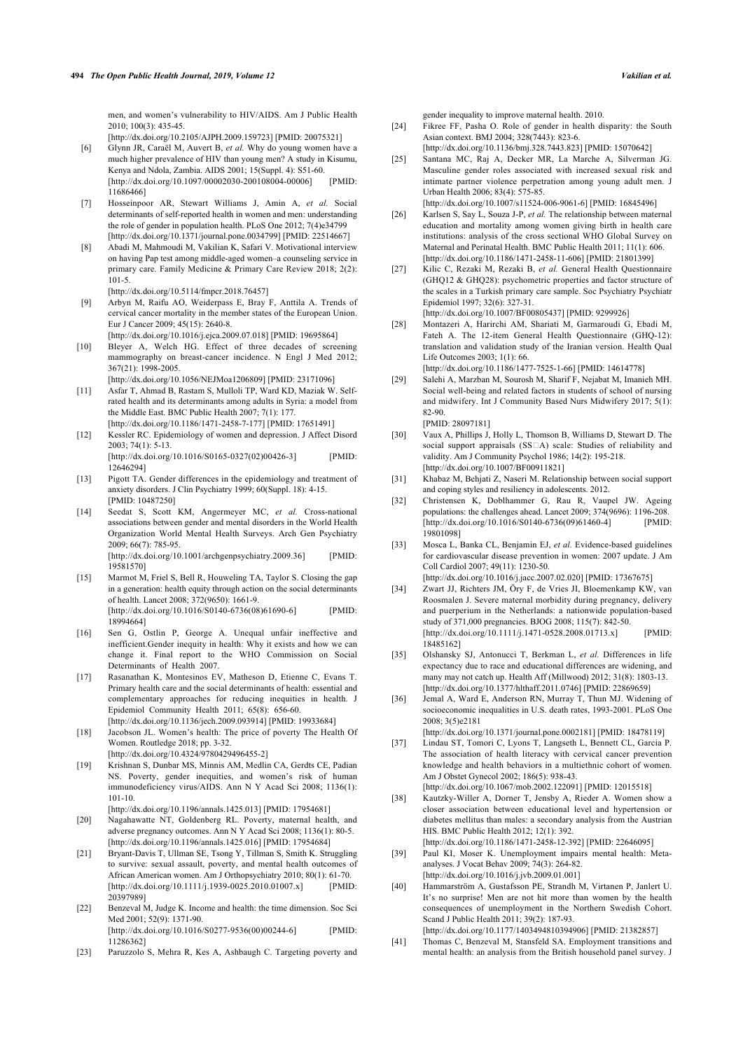men, and women's vulnerability to HIV/AIDS. Am J Public Health 2010; 100(3): 435-45.

[\[http://dx.doi.org/10.2105/AJPH.2009.159723](http://dx.doi.org/10.2105/AJPH.2009.159723)] [PMID: [20075321](http://www.ncbi.nlm.nih.gov/pubmed/20075321)]

- <span id="page-5-15"></span><span id="page-5-0"></span>[6] Glynn JR, Caraël M, Auvert B, *et al.* Why do young women have a much higher prevalence of HIV than young men? A study in Kisumu, Kenya and Ndola, Zambia. AIDS 2001; 15(Suppl. 4): S51-60. [\[http://dx.doi.org/10.1097/00002030-200108004-00006\]](http://dx.doi.org/10.1097/00002030-200108004-00006) [PMID: [11686466\]](http://www.ncbi.nlm.nih.gov/pubmed/11686466)
- <span id="page-5-16"></span><span id="page-5-1"></span>[7] Hosseinpoor AR, Stewart Williams J, Amin A, *et al.* Social determinants of self-reported health in women and men: understanding the role of gender in population health. PLoS One 2012; 7(4)e34799 [\[http://dx.doi.org/10.1371/journal.pone.0034799\]](http://dx.doi.org/10.1371/journal.pone.0034799) [PMID: [22514667](http://www.ncbi.nlm.nih.gov/pubmed/22514667)]
- <span id="page-5-17"></span><span id="page-5-2"></span>[8] Abadi M, Mahmoudi M, Vakilian K, Safari V. Motivational interview on having Pap test among middle-aged women–a counseling service in primary care. Family Medicine & Primary Care Review 2018; 2(2): 101-5.

[\[http://dx.doi.org/10.5114/fmpcr.2018.76457\]](http://dx.doi.org/10.5114/fmpcr.2018.76457)

- <span id="page-5-3"></span>[9] Arbyn M, Raifu AO, Weiderpass E, Bray F, Anttila A. Trends of cervical cancer mortality in the member states of the European Union. Eur J Cancer 2009; 45(15): 2640-8. [\[http://dx.doi.org/10.1016/j.ejca.2009.07.018\]](http://dx.doi.org/10.1016/j.ejca.2009.07.018) [PMID: [19695864](http://www.ncbi.nlm.nih.gov/pubmed/19695864)]
- <span id="page-5-18"></span><span id="page-5-4"></span>[10] Bleyer A, Welch HG. Effect of three decades of screening mammography on breast-cancer incidence. N Engl J Med 2012; 367(21): 1998-2005.

[\[http://dx.doi.org/10.1056/NEJMoa1206809\]](http://dx.doi.org/10.1056/NEJMoa1206809) [PMID: [23171096](http://www.ncbi.nlm.nih.gov/pubmed/23171096)]

- <span id="page-5-19"></span><span id="page-5-5"></span>[11] Asfar T, Ahmad B, Rastam S, Mulloli TP, Ward KD, Maziak W. Selfrated health and its determinants among adults in Syria: a model from the Middle East. BMC Public Health 2007; 7(1): 177. [\[http://dx.doi.org/10.1186/1471-2458-7-177](http://dx.doi.org/10.1186/1471-2458-7-177)] [PMID: [17651491\]](http://www.ncbi.nlm.nih.gov/pubmed/17651491)
- <span id="page-5-6"></span>[12] Kessler RC. Epidemiology of women and depression. J Affect Disord 2003; 74(1): 5-13. [\[http://dx.doi.org/10.1016/S0165-0327\(02\)00426-3](http://dx.doi.org/10.1016/S0165-0327(02)00426-3)] [PMID: [12646294\]](http://www.ncbi.nlm.nih.gov/pubmed/12646294)
- <span id="page-5-7"></span>[13] Pigott TA. Gender differences in the epidemiology and treatment of anxiety disorders. J Clin Psychiatry 1999; 60(Suppl. 18): 4-15. [PMID: [10487250](http://www.ncbi.nlm.nih.gov/pubmed/10487250)]
- <span id="page-5-20"></span><span id="page-5-8"></span>[14] Seedat S, Scott KM, Angermeyer MC, *et al.* Cross-national associations between gender and mental disorders in the World Health Organization World Mental Health Surveys. Arch Gen Psychiatry 2009; 66(7): 785-95.

[\[http://dx.doi.org/10.1001/archgenpsychiatry.2009.36](http://dx.doi.org/10.1001/archgenpsychiatry.2009.36)] [PMID: [19581570\]](http://www.ncbi.nlm.nih.gov/pubmed/19581570)

- <span id="page-5-21"></span><span id="page-5-9"></span>[15] Marmot M, Friel S, Bell R, Houweling TA, Taylor S. Closing the gap in a generation: health equity through action on the social determinants of health. Lancet 2008; 372(9650): 1661-9. [\[http://dx.doi.org/10.1016/S0140-6736\(08\)61690-6](http://dx.doi.org/10.1016/S0140-6736(08)61690-6)] [PMID: [18994664\]](http://www.ncbi.nlm.nih.gov/pubmed/18994664)
- <span id="page-5-10"></span>[16] Sen G, Ostlin P, George A. Unequal unfair ineffective and inefficient.Gender inequity in health: Why it exists and how we can change it. Final report to the WHO Commission on Social Determinants of Health 2007.
- <span id="page-5-23"></span><span id="page-5-22"></span><span id="page-5-11"></span>[17] Rasanathan K, Montesinos EV, Matheson D, Etienne C, Evans T. Primary health care and the social determinants of health: essential and complementary approaches for reducing inequities in health. J Epidemiol Community Health 2011; 65(8): 656-60. [\[http://dx.doi.org/10.1136/jech.2009.093914](http://dx.doi.org/10.1136/jech.2009.093914)] [PMID: [19933684\]](http://www.ncbi.nlm.nih.gov/pubmed/19933684)
- <span id="page-5-24"></span><span id="page-5-12"></span>[18] Jacobson JL. Women's health: The price of poverty The Health Of Women. Routledge 2018; pp. 3-32. [\[http://dx.doi.org/10.4324/9780429496455-2\]](http://dx.doi.org/10.4324/9780429496455-2)
- [19] Krishnan S, Dunbar MS, Minnis AM, Medlin CA, Gerdts CE, Padian NS. Poverty, gender inequities, and women's risk of human immunodeficiency virus/AIDS. Ann N Y Acad Sci 2008; 1136(1): 101-10.
- <span id="page-5-25"></span>[\[http://dx.doi.org/10.1196/annals.1425.013](http://dx.doi.org/10.1196/annals.1425.013)] [PMID: [17954681\]](http://www.ncbi.nlm.nih.gov/pubmed/17954681) [20] Nagahawatte NT, Goldenberg RL. Poverty, maternal health, and
- adverse pregnancy outcomes. Ann N Y Acad Sci 2008; 1136(1): 80-5. [\[http://dx.doi.org/10.1196/annals.1425.016](http://dx.doi.org/10.1196/annals.1425.016)] [PMID: [17954684\]](http://www.ncbi.nlm.nih.gov/pubmed/17954684)
- <span id="page-5-26"></span>[21] Bryant-Davis T, Ullman SE, Tsong Y, Tillman S, Smith K. Struggling to survive: sexual assault, poverty, and mental health outcomes of African American women. Am J Orthopsychiatry 2010; 80(1): 61-70. [\[http://dx.doi.org/10.1111/j.1939-0025.2010.01007.x\]](http://dx.doi.org/10.1111/j.1939-0025.2010.01007.x) [PMID: [20397989\]](http://www.ncbi.nlm.nih.gov/pubmed/20397989)
- <span id="page-5-27"></span><span id="page-5-14"></span>[22] Benzeval M, Judge K. Income and health: the time dimension. Soc Sci Med 2001; 52(9): 1371-90. [\[http://dx.doi.org/10.1016/S0277-9536\(00\)00244-6](http://dx.doi.org/10.1016/S0277-9536(00)00244-6)] [PMID: [11286362\]](http://www.ncbi.nlm.nih.gov/pubmed/11286362)
- <span id="page-5-28"></span><span id="page-5-13"></span>[23] Paruzzolo S, Mehra R, Kes A, Ashbaugh C, Targeting poverty and

gender inequality to improve maternal health. 2010.

- [24] Fikree FF, Pasha O. Role of gender in health disparity: the South Asian context. BMJ 2004; 328(7443): 823-6.
- [\[http://dx.doi.org/10.1136/bmj.328.7443.823\]](http://dx.doi.org/10.1136/bmj.328.7443.823) [PMID: [15070642](http://www.ncbi.nlm.nih.gov/pubmed/15070642)] [25] Santana MC, Raj A, Decker MR, La Marche A, Silverman JG. Masculine gender roles associated with increased sexual risk and intimate partner violence perpetration among young adult men. J Urban Health 2006; 83(4): 575-85. [\[http://dx.doi.org/10.1007/s11524-006-9061-6\]](http://dx.doi.org/10.1007/s11524-006-9061-6) [PMID: [16845496](http://www.ncbi.nlm.nih.gov/pubmed/16845496)]
- [26] Karlsen S, Say L, Souza J-P, *et al.* The relationship between maternal education and mortality among women giving birth in health care institutions: analysis of the cross sectional WHO Global Survey on Maternal and Perinatal Health. BMC Public Health 2011; 11(1): 606. [\[http://dx.doi.org/10.1186/1471-2458-11-606\]](http://dx.doi.org/10.1186/1471-2458-11-606) [PMID: [21801399\]](http://www.ncbi.nlm.nih.gov/pubmed/21801399)
- [27] Kilic C, Rezaki M, Rezaki B, *et al.* General Health Questionnaire (GHQ12 & GHQ28): psychometric properties and factor structure of the scales in a Turkish primary care sample. Soc Psychiatry Psychiatr Epidemiol 1997; 32(6): 327-31.

[\[http://dx.doi.org/10.1007/BF00805437](http://dx.doi.org/10.1007/BF00805437)] [PMID: [9299926](http://www.ncbi.nlm.nih.gov/pubmed/9299926)]

- [28] Montazeri A, Harirchi AM, Shariati M, Garmaroudi G, Ebadi M, Fateh A. The 12-item General Health Questionnaire (GHQ-12): translation and validation study of the Iranian version. Health Qual Life Outcomes 2003; 1(1): 66. [\[http://dx.doi.org/10.1186/1477-7525-1-66\]](http://dx.doi.org/10.1186/1477-7525-1-66) [PMID: [14614778\]](http://www.ncbi.nlm.nih.gov/pubmed/14614778)
- [29] Salehi A, Marzban M, Sourosh M, Sharif F, Nejabat M, Imanieh MH. Social well-being and related factors in students of school of nursing and midwifery. Int J Community Based Nurs Midwifery 2017; 5(1): 82-90. [PMID: [28097181\]](http://www.ncbi.nlm.nih.gov/pubmed/28097181)
- [30] Vaux A, Phillips J, Holly L, Thomson B, Williams D, Stewart D. The social support appraisals (SS<sup>IA</sup>) scale: Studies of reliability and validity. Am J Community Psychol 1986; 14(2): 195-218. [\[http://dx.doi.org/10.1007/BF00911821](http://dx.doi.org/10.1007/BF00911821)]
- [31] Khabaz M, Behjati Z, Naseri M. Relationship between social support and coping styles and resiliency in adolescents. 2012.
- [32] Christensen K, Doblhammer G, Rau R, Vaupel JW. Ageing populations: the challenges ahead. Lancet 2009; 374(9696): 1196-208. [\[http://dx.doi.org/10.1016/S0140-6736\(09\)61460-4](http://dx.doi.org/10.1016/S0140-6736(09)61460-4)] [PMID: [19801098\]](http://www.ncbi.nlm.nih.gov/pubmed/19801098)
- [33] Mosca L, Banka CL, Benjamin EJ, *et al.* Evidence-based guidelines for cardiovascular disease prevention in women: 2007 update. J Am Coll Cardiol 2007; 49(11): 1230-50. [\[http://dx.doi.org/10.1016/j.jacc.2007.02.020](http://dx.doi.org/10.1016/j.jacc.2007.02.020)] [PMID: [17367675\]](http://www.ncbi.nlm.nih.gov/pubmed/17367675)

[34] Zwart JJ, Richters JM, Öry F, de Vries JI, Bloemenkamp KW, van Roosmalen J. Severe maternal morbidity during pregnancy, delivery and puerperium in the Netherlands: a nationwide population-based study of 371,000 pregnancies. BJOG 2008; 115(7): 842-50. [\[http://dx.doi.org/10.1111/j.1471-0528.2008.01713.x\]](http://dx.doi.org/10.1111/j.1471-0528.2008.01713.x) [PMID:

[35] Olshansky SJ, Antonucci T, Berkman L, *et al.* Differences in life expectancy due to race and educational differences are widening, and many may not catch up. Health Aff (Millwood) 2012; 31(8): 1803-13. [\[http://dx.doi.org/10.1377/hlthaff.2011.0746\]](http://dx.doi.org/10.1377/hlthaff.2011.0746) [PMID: [22869659](http://www.ncbi.nlm.nih.gov/pubmed/22869659)]

[18485162\]](http://www.ncbi.nlm.nih.gov/pubmed/18485162)

[36] Jemal A, Ward E, Anderson RN, Murray T, Thun MJ. Widening of socioeconomic inequalities in U.S. death rates, 1993-2001. PLoS One 2008; 3(5)e2181

[\[http://dx.doi.org/10.1371/journal.pone.0002181\]](http://dx.doi.org/10.1371/journal.pone.0002181) [PMID: [18478119\]](http://www.ncbi.nlm.nih.gov/pubmed/18478119) [37] Lindau ST, Tomori C, Lyons T, Langseth L, Bennett CL, Garcia P.

- The association of health literacy with cervical cancer prevention knowledge and health behaviors in a multiethnic cohort of women. Am J Obstet Gynecol 2002; 186(5): 938-43.
- [\[http://dx.doi.org/10.1067/mob.2002.122091](http://dx.doi.org/10.1067/mob.2002.122091)] [PMID: [12015518](http://www.ncbi.nlm.nih.gov/pubmed/12015518)] [38] Kautzky-Willer A, Dorner T, Jensby A, Rieder A. Women show a closer association between educational level and hypertension or diabetes mellitus than males: a secondary analysis from the Austrian HIS. BMC Public Health 2012; 12(1): 392.
	- [\[http://dx.doi.org/10.1186/1471-2458-12-392\]](http://dx.doi.org/10.1186/1471-2458-12-392) [PMID: [22646095\]](http://www.ncbi.nlm.nih.gov/pubmed/22646095)
- [39] Paul KI, Moser K. Unemployment impairs mental health: Metaanalyses. J Vocat Behav 2009; 74(3): 264-82. [\[http://dx.doi.org/10.1016/j.jvb.2009.01.001\]](http://dx.doi.org/10.1016/j.jvb.2009.01.001)
- [40] Hammarström A, Gustafsson PE, Strandh M, Virtanen P, Janlert U. It's no surprise! Men are not hit more than women by the health consequences of unemployment in the Northern Swedish Cohort. Scand J Public Health 2011; 39(2): 187-93.
- [\[http://dx.doi.org/10.1177/1403494810394906](http://dx.doi.org/10.1177/1403494810394906)] [PMID: [21382857](http://www.ncbi.nlm.nih.gov/pubmed/21382857)] [41] Thomas C, Benzeval M, Stansfeld SA. Employment transitions and mental health: an analysis from the British household panel survey. J